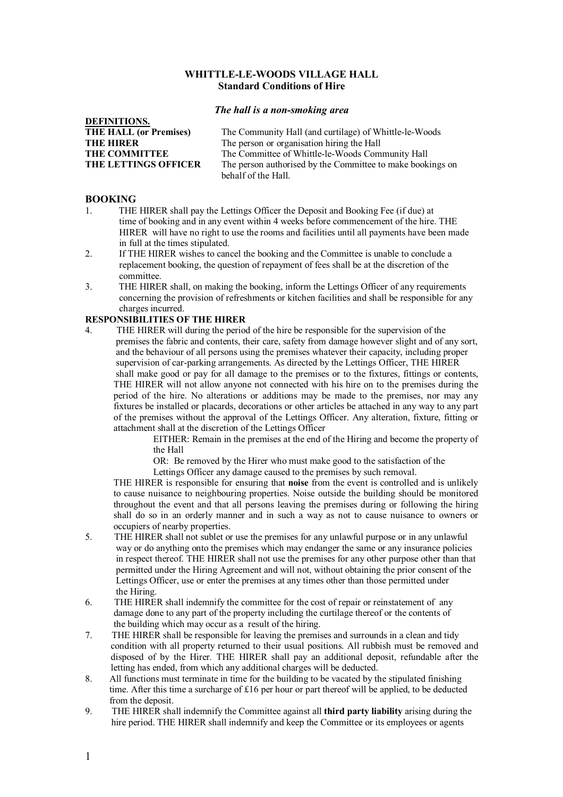### **WHITTLE-LE-WOODS VILLAGE HALL Standard Conditions of Hire**

#### *The hall is a non-smoking area*

| DEFINITIONS.                  |                                                            |
|-------------------------------|------------------------------------------------------------|
| <b>THE HALL (or Premises)</b> | The Community Hall (and curtilage) of Whittle-le-Woods     |
| <b>THE HIRER</b>              | The person or organisation hiring the Hall                 |
| <b>THE COMMITTEE</b>          | The Committee of Whittle-le-Woods Community Hall           |
| <b>THE LETTINGS OFFICER</b>   | The person authorised by the Committee to make bookings on |
|                               | hehalf of the Hall                                         |

#### **BOOKING**

**DEFINITIONS.**

- 1. THE HIRER shall pay the Lettings Officer the Deposit and Booking Fee (if due) at time of booking and in any event within 4 weeks before commencement of the hire. THE HIRER will have no right to use the rooms and facilities until all payments have been made in full at the times stipulated.
- 2. If THE HIRER wishes to cancel the booking and the Committee is unable to conclude a replacement booking, the question of repayment of fees shall be at the discretion of the committee.
- 3. THE HIRER shall, on making the booking, inform the Lettings Officer of any requirements concerning the provision of refreshments or kitchen facilities and shall be responsible for any charges incurred.

# **RESPONSIBILITIES OF THE HIRER**

4. THE HIRER will during the period of the hire be responsible for the supervision of the premises the fabric and contents, their care, safety from damage however slight and of any sort, and the behaviour of all persons using the premises whatever their capacity, including proper supervision of car-parking arrangements. As directed by the Lettings Officer, THE HIRER shall make good or pay for all damage to the premises or to the fixtures, fittings or contents, THE HIRER will not allow anyone not connected with his hire on to the premises during the period of the hire. No alterations or additions may be made to the premises, nor may any fixtures be installed or placards, decorations or other articles be attached in any way to any part of the premises without the approval of the Lettings Officer. Any alteration, fixture, fitting or attachment shall at the discretion of the Lettings Officer

 EITHER: Remain in the premises at the end of the Hiring and become the property of the Hall

OR: Be removed by the Hirer who must make good to the satisfaction of the

Lettings Officer any damage caused to the premises by such removal.

THE HIRER is responsible for ensuring that **noise** from the event is controlled and is unlikely to cause nuisance to neighbouring properties. Noise outside the building should be monitored throughout the event and that all persons leaving the premises during or following the hiring shall do so in an orderly manner and in such a way as not to cause nuisance to owners or occupiers of nearby properties.

- 5. THE HIRER shall not sublet or use the premises for any unlawful purpose or in any unlawful way or do anything onto the premises which may endanger the same or any insurance policies in respect thereof. THE HIRER shall not use the premises for any other purpose other than that permitted under the Hiring Agreement and will not, without obtaining the prior consent of the Lettings Officer, use or enter the premises at any times other than those permitted under the Hiring.
- 6. THE HIRER shall indemnify the committee for the cost of repair or reinstatement of any damage done to any part of the property including the curtilage thereof or the contents of the building which may occur as a result of the hiring.
- 7. THE HIRER shall be responsible for leaving the premises and surrounds in a clean and tidy condition with all property returned to their usual positions. All rubbish must be removed and disposed of by the Hirer*.* THE HIRER shall pay an additional deposit, refundable after the letting has ended, from which any additional charges will be deducted.
- 8. All functions must terminate in time for the building to be vacated by the stipulated finishing time. After this time a surcharge of £16 per hour or part thereof will be applied, to be deducted from the deposit.
- 9. THE HIRER shall indemnify the Committee against all **third party liability** arising during the hire period. THE HIRER shall indemnify and keep the Committee or its employees or agents